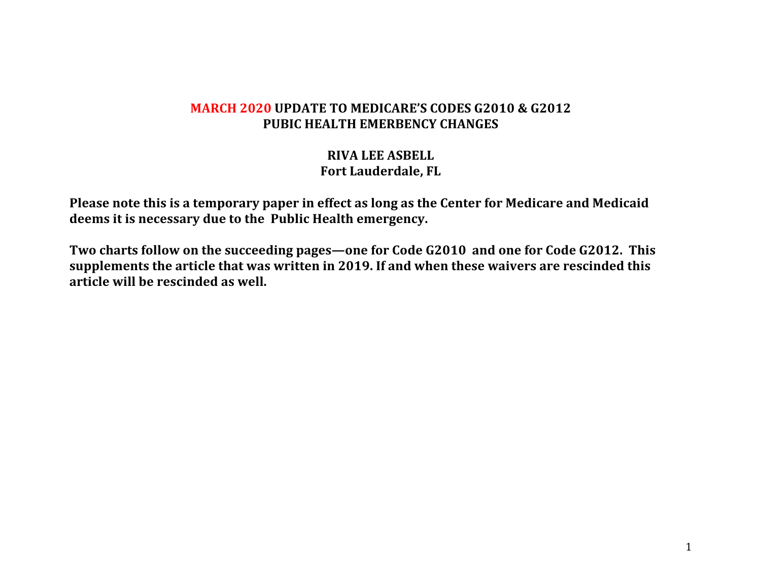#### **MARCH 2020 UPDATE TO MEDICARE'S CODES G2010 & G2012 PUBIC HEALTH EMERBENCY CHANGES**

### **RIVA LEE ASBELL Fort Lauderdale, FL**

Please note this is a temporary paper in effect as long as the Center for Medicare and Medicaid deems it is necessary due to the Public Health emergency.

Two charts follow on the succeeding pages—one for Code G2010 and one for Code G2012. This supplements the article that was written in 2019. If and when these waivers are rescinded this **article will be rescinded as well.**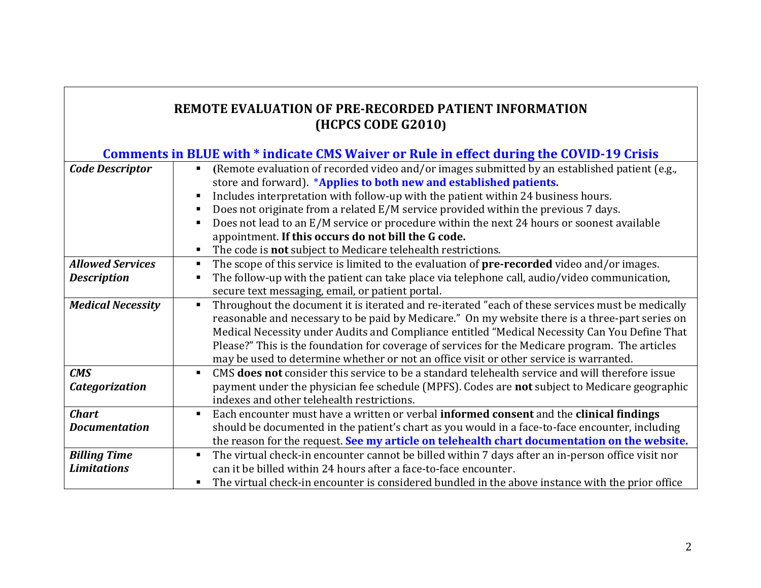## **REMOTE EVALUATION OF PRE-RECORDED PATIENT INFORMATION (HCPCS CODE G2010)**

| Comments in BLUE with * indicate CMS Waiver or Rule in effect during the COVID-19 Crisis |                                                                                                                          |  |
|------------------------------------------------------------------------------------------|--------------------------------------------------------------------------------------------------------------------------|--|
| <b>Code Descriptor</b>                                                                   | (Remote evaluation of recorded video and/or images submitted by an established patient (e.g.,<br>$\blacksquare$          |  |
|                                                                                          | store and forward). *Applies to both new and established patients.                                                       |  |
|                                                                                          | Includes interpretation with follow-up with the patient within 24 business hours.                                        |  |
|                                                                                          | Does not originate from a related E/M service provided within the previous 7 days.                                       |  |
|                                                                                          | Does not lead to an E/M service or procedure within the next 24 hours or soonest available                               |  |
|                                                                                          | appointment. If this occurs do not bill the G code.                                                                      |  |
|                                                                                          | The code is not subject to Medicare telehealth restrictions.                                                             |  |
| <b>Allowed Services</b>                                                                  | The scope of this service is limited to the evaluation of <b>pre-recorded</b> video and/or images.                       |  |
| <b>Description</b>                                                                       | The follow-up with the patient can take place via telephone call, audio/video communication,                             |  |
|                                                                                          | secure text messaging, email, or patient portal.                                                                         |  |
| <b>Medical Necessity</b>                                                                 | Throughout the document it is iterated and re-iterated "each of these services must be medically                         |  |
|                                                                                          | reasonable and necessary to be paid by Medicare." On my website there is a three-part series on                          |  |
|                                                                                          | Medical Necessity under Audits and Compliance entitled "Medical Necessity Can You Define That                            |  |
|                                                                                          | Please?" This is the foundation for coverage of services for the Medicare program. The articles                          |  |
|                                                                                          | may be used to determine whether or not an office visit or other service is warranted.                                   |  |
| <b>CMS</b>                                                                               | CMS <b>does not</b> consider this service to be a standard telehealth service and will therefore issue<br>$\blacksquare$ |  |
| <b>Categorization</b>                                                                    | payment under the physician fee schedule (MPFS). Codes are not subject to Medicare geographic                            |  |
|                                                                                          | indexes and other telehealth restrictions.                                                                               |  |
| <b>Chart</b>                                                                             | Each encounter must have a written or verbal informed consent and the clinical findings<br>$\blacksquare$                |  |
| <b>Documentation</b>                                                                     | should be documented in the patient's chart as you would in a face-to-face encounter, including                          |  |
|                                                                                          | the reason for the request. See my article on telehealth chart documentation on the website.                             |  |
| <b>Billing Time</b>                                                                      | The virtual check-in encounter cannot be billed within 7 days after an in-person office visit nor                        |  |
| <b>Limitations</b>                                                                       | can it be billed within 24 hours after a face-to-face encounter.                                                         |  |
|                                                                                          | The virtual check-in encounter is considered bundled in the above instance with the prior office                         |  |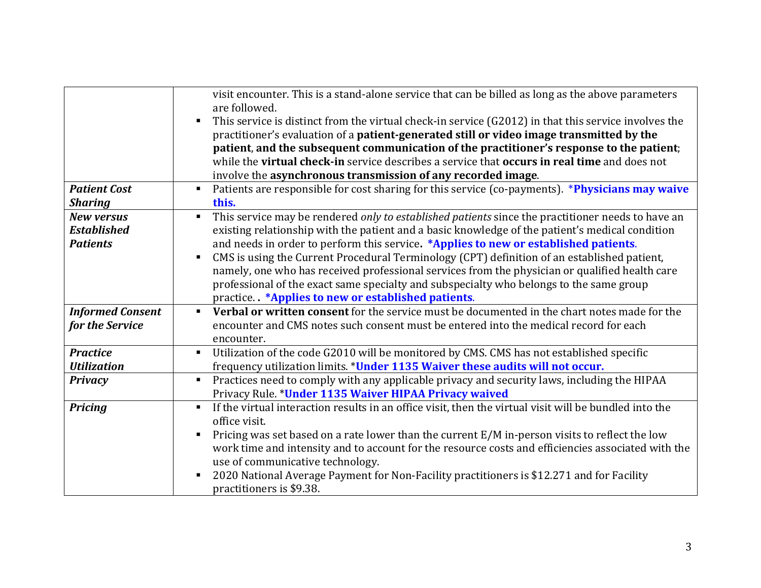|                         | visit encounter. This is a stand-alone service that can be billed as long as the above parameters<br>are followed.                                                                                     |
|-------------------------|--------------------------------------------------------------------------------------------------------------------------------------------------------------------------------------------------------|
|                         |                                                                                                                                                                                                        |
|                         | This service is distinct from the virtual check-in service (G2012) in that this service involves the                                                                                                   |
|                         | practitioner's evaluation of a patient-generated still or video image transmitted by the                                                                                                               |
|                         | patient, and the subsequent communication of the practitioner's response to the patient;<br>while the <b>virtual check-in</b> service describes a service that <b>occurs in real time</b> and does not |
|                         |                                                                                                                                                                                                        |
|                         | involve the asynchronous transmission of any recorded image.                                                                                                                                           |
| <b>Patient Cost</b>     | Patients are responsible for cost sharing for this service (co-payments). *Physicians may waive                                                                                                        |
| <b>Sharing</b>          | this.                                                                                                                                                                                                  |
| <b>New versus</b>       | This service may be rendered only to established patients since the practitioner needs to have an<br>$\blacksquare$                                                                                    |
| <b>Established</b>      | existing relationship with the patient and a basic knowledge of the patient's medical condition                                                                                                        |
| <b>Patients</b>         | and needs in order to perform this service. *Applies to new or established patients.                                                                                                                   |
|                         | CMS is using the Current Procedural Terminology (CPT) definition of an established patient,                                                                                                            |
|                         | namely, one who has received professional services from the physician or qualified health care                                                                                                         |
|                         | professional of the exact same specialty and subspecialty who belongs to the same group                                                                                                                |
|                         | practice. *Applies to new or established patients.                                                                                                                                                     |
| <b>Informed Consent</b> | Verbal or written consent for the service must be documented in the chart notes made for the<br>$\blacksquare$                                                                                         |
| for the Service         | encounter and CMS notes such consent must be entered into the medical record for each                                                                                                                  |
|                         | encounter.                                                                                                                                                                                             |
| <b>Practice</b>         | Utilization of the code G2010 will be monitored by CMS. CMS has not established specific<br>$\blacksquare$                                                                                             |
| <b>Utilization</b>      | frequency utilization limits. *Under 1135 Waiver these audits will not occur.                                                                                                                          |
| <b>Privacy</b>          | Practices need to comply with any applicable privacy and security laws, including the HIPAA<br>$\blacksquare$                                                                                          |
|                         | Privacy Rule. *Under 1135 Waiver HIPAA Privacy waived                                                                                                                                                  |
| <b>Pricing</b>          | If the virtual interaction results in an office visit, then the virtual visit will be bundled into the                                                                                                 |
|                         | office visit.                                                                                                                                                                                          |
|                         | Pricing was set based on a rate lower than the current E/M in-person visits to reflect the low                                                                                                         |
|                         | work time and intensity and to account for the resource costs and efficiencies associated with the                                                                                                     |
|                         | use of communicative technology.                                                                                                                                                                       |
|                         | 2020 National Average Payment for Non-Facility practitioners is \$12.271 and for Facility                                                                                                              |
|                         | practitioners is \$9.38.                                                                                                                                                                               |